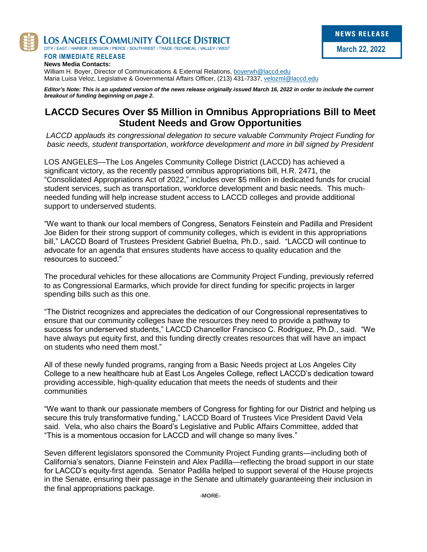

LOS ANGELES COMMUNITY COLLEGE DISTRICT

CITY / EAST / HARBOR / MISSION / PIERCE / SOUTHWEST / TRADE-TECHNICAL / VALLEY / WEST

**FOR IMMEDIATE RELEASE News Media Contacts:**

William H. Boyer, Director of Communications & External Relations, [boyerwh@laccd.edu](mailto:boyerwh@laccd.edu) Maria Luisa Veloz, Legislative & Governmental Affairs Officer, (213) 431-7337[, velozml@laccd.edu](mailto:velozml@laccd.edu)

*Editor's Note: This is an updated version of the news release originally issued March 16, 2022 in order to include the current breakout of funding beginning on page 2.* 

# **LACCD Secures Over \$5 Million in Omnibus Appropriations Bill to Meet Student Needs and Grow Opportunities**

*LACCD applauds its congressional delegation to secure valuable Community Project Funding for basic needs, student transportation, workforce development and more in bill signed by President*

LOS ANGELES—The Los Angeles Community College District (LACCD) has achieved a significant victory, as the recently passed omnibus appropriations bill, H.R. 2471, the "Consolidated Appropriations Act of 2022," includes over \$5 million in dedicated funds for crucial student services, such as transportation, workforce development and basic needs. This muchneeded funding will help increase student access to LACCD colleges and provide additional support to underserved students.

"We want to thank our local members of Congress, Senators Feinstein and Padilla and President Joe Biden for their strong support of community colleges, which is evident in this appropriations bill," LACCD Board of Trustees President Gabriel Buelna, Ph.D., said. "LACCD will continue to advocate for an agenda that ensures students have access to quality education and the resources to succeed."

The procedural vehicles for these allocations are Community Project Funding, previously referred to as Congressional Earmarks, which provide for direct funding for specific projects in larger spending bills such as this one.

"The District recognizes and appreciates the dedication of our Congressional representatives to ensure that our community colleges have the resources they need to provide a pathway to success for underserved students," LACCD Chancellor Francisco C. Rodriguez, Ph.D., said. "We have always put equity first, and this funding directly creates resources that will have an impact on students who need them most."

All of these newly funded programs, ranging from a Basic Needs project at Los Angeles City College to a new healthcare hub at East Los Angeles College, reflect LACCD's dedication toward providing accessible, high-quality education that meets the needs of students and their communities

"We want to thank our passionate members of Congress for fighting for our District and helping us secure this truly transformative funding," LACCD Board of Trustees Vice President David Vela said. Vela, who also chairs the Board's Legislative and Public Affairs Committee, added that "This is a momentous occasion for LACCD and will change so many lives."

Seven different legislators sponsored the Community Project Funding grants—including both of California's senators, Dianne Feinstein and Alex Padilla—reflecting the broad support in our state for LACCD's equity-first agenda. Senator Padilla helped to support several of the House projects in the Senate, ensuring their passage in the Senate and ultimately guaranteeing their inclusion in the final appropriations package.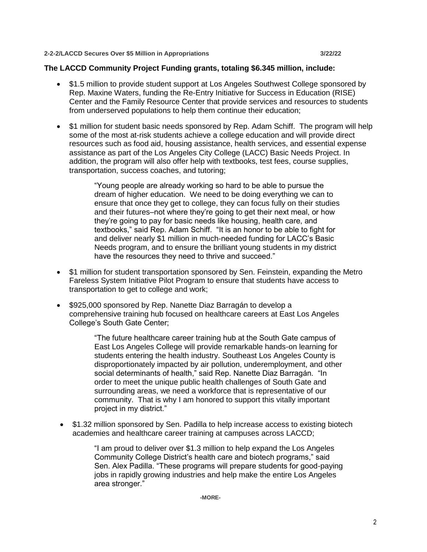#### **2-2-2/LACCD Secures Over \$5 Million in Appropriations 3/22/22**

### **The LACCD Community Project Funding grants, totaling \$6.345 million, include:**

- \$1.5 million to provide student support at Los Angeles Southwest College sponsored by Rep. Maxine Waters, funding the Re-Entry Initiative for Success in Education (RISE) Center and the Family Resource Center that provide services and resources to students from underserved populations to help them continue their education;
- \$1 million for student basic needs sponsored by Rep. Adam Schiff. The program will help some of the most at-risk students achieve a college education and will provide direct resources such as food aid, housing assistance, health services, and essential expense assistance as part of the Los Angeles City College (LACC) Basic Needs Project. In addition, the program will also offer help with textbooks, test fees, course supplies, transportation, success coaches, and tutoring;

"Young people are already working so hard to be able to pursue the dream of higher education. We need to be doing everything we can to ensure that once they get to college, they can focus fully on their studies and their futures–not where they're going to get their next meal, or how they're going to pay for basic needs like housing, health care, and textbooks," said Rep. Adam Schiff. "It is an honor to be able to fight for and deliver nearly \$1 million in much-needed funding for LACC's Basic Needs program, and to ensure the brilliant young students in my district have the resources they need to thrive and succeed."

- \$1 million for student transportation sponsored by Sen. Feinstein, expanding the Metro Fareless System Initiative Pilot Program to ensure that students have access to transportation to get to college and work;
- \$925,000 sponsored by Rep. Nanette Diaz Barragán to develop a comprehensive training hub focused on healthcare careers at East Los Angeles College's South Gate Center;

"The future healthcare career training hub at the South Gate campus of East Los Angeles College will provide remarkable hands-on learning for students entering the health industry. Southeast Los Angeles County is disproportionately impacted by air pollution, underemployment, and other social determinants of health," said Rep. Nanette Diaz Barragán. "In order to meet the unique public health challenges of South Gate and surrounding areas, we need a workforce that is representative of our community. That is why I am honored to support this vitally important project in my district."

 \$1.32 million sponsored by Sen. Padilla to help increase access to existing biotech academies and healthcare career training at campuses across LACCD;

> "I am proud to deliver over \$1.3 million to help expand the Los Angeles Community College District's health care and biotech programs," said Sen. Alex Padilla. "These programs will prepare students for good-paying jobs in rapidly growing industries and help make the entire Los Angeles area stronger."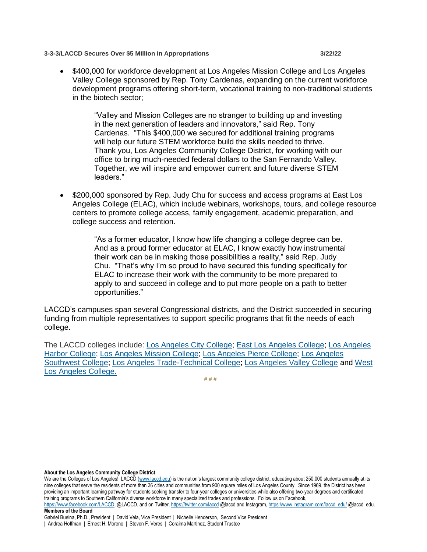**3-3-3/LACCD Secures Over \$5 Million in Appropriations 3/22/22**

• \$400,000 for workforce development at Los Angeles Mission College and Los Angeles Valley College sponsored by Rep. Tony Cardenas, expanding on the current workforce development programs offering short-term, vocational training to non-traditional students in the biotech sector;

> "Valley and Mission Colleges are no stranger to building up and investing in the next generation of leaders and innovators," said Rep. Tony Cardenas. "This \$400,000 we secured for additional training programs will help our future STEM workforce build the skills needed to thrive. Thank you, Los Angeles Community College District, for working with our office to bring much-needed federal dollars to the San Fernando Valley. Together, we will inspire and empower current and future diverse STEM leaders."

• \$200,000 sponsored by Rep. Judy Chu for success and access programs at East Los Angeles College (ELAC), which include webinars, workshops, tours, and college resource centers to promote college access, family engagement, academic preparation, and college success and retention.

> "As a former educator, I know how life changing a college degree can be. And as a proud former educator at ELAC, I know exactly how instrumental their work can be in making those possibilities a reality," said Rep. Judy Chu. "That's why I'm so proud to have secured this funding specifically for ELAC to increase their work with the community to be more prepared to apply to and succeed in college and to put more people on a path to better opportunities."

LACCD's campuses span several Congressional districts, and the District succeeded in securing funding from multiple representatives to support specific programs that fit the needs of each college.

The LACCD colleges include: [Los Angeles City College;](https://www.lacitycollege.edu/) [East Los Angeles College;](https://www.elac.edu/) [Los Angeles](https://www.lahc.edu/)  [Harbor College;](https://www.lahc.edu/) [Los Angeles Mission College;](http://www.lamission.edu/) [Los Angeles Pierce College;](http://www.piercecollege.edu/) [Los Angeles](https://www.lasc.edu/)  [Southwest College;](https://www.lasc.edu/) [Los Angeles Trade-Technical College;](http://www.lattc.edu/) [Los Angeles Valley College](https://www.lavc.edu/) and [West](http://www.wlac.edu/)  [Los Angeles College.](http://www.wlac.edu/)

**# # #**

**About the Los Angeles Community College District**

We are the Colleges of Los Angeles! LACCD [\(www.laccd.edu](http://www.laccd.edu/)) is the nation's largest community college district, educating about 250,000 students annually at its nine colleges that serve the residents of more than 36 cities and communities from 900 square miles of Los Angeles County. Since 1969, the District has been providing an important learning pathway for students seeking transfer to four-year colleges or universities while also offering two-year degrees and certificated training programs to Southern California's diverse workforce in many specialized trades and professions. Follow us on Facebook, [https://www.facebook.com/LACCD,](https://www.facebook.com/LACCD) @LACCD, and on Twitter[, https://twitter.com/laccd](https://twitter.com/laccd) @laccd and Instagram[, https://www.instagram.com/laccd\\_edu/](https://www.instagram.com/laccd_edu/) @laccd\_edu. **Members of the Board**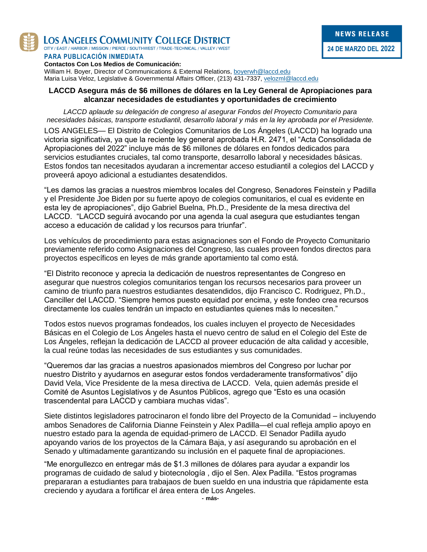

LOS ANGELES COMMUNITY COLLEGE DISTRICT

CITY / EAST / HARBOR / MISSION / PIERCE / SOUTHWEST / TRADE-TECHNICAL / VALLEY / WEST

#### **PARA PUBLICACIÓN INMEDIATA**

**Contactos Con Los Medios de Comunicación:**

William H. Boyer, Director of Communications & External Relations, [boyerwh@laccd.edu](mailto:boyerwh@laccd.edu) Maria Luisa Veloz, Legislative & Governmental Affairs Officer, (213) 431-7337[, velozml@laccd.edu](mailto:velozml@laccd.edu)

### **LACCD Asegura más de \$6 millones de dólares en la Ley General de Apropiaciones para alcanzar necesidades de estudiantes y oportunidades de crecimiento**

*LACCD aplaude su delegación de congreso al asegurar Fondos del Proyecto Comunitario para necesidades básicas, transporte estudiantil, desarrollo laboral y más en la ley aprobada por el Presidente.*

LOS ANGELES— El Distrito de Colegios Comunitarios de Los Ángeles (LACCD) ha logrado una victoria significativa, ya que la reciente ley general aprobada H.R. 2471, el "Acta Consolidada de Apropiaciones del 2022" incluye más de \$6 millones de dólares en fondos dedicados para servicios estudiantes cruciales, tal como transporte, desarrollo laboral y necesidades básicas. Estos fondos tan necesitados ayudaran a incrementar acceso estudiantil a colegios del LACCD y proveerá apoyo adicional a estudiantes desatendidos.

"Les damos las gracias a nuestros miembros locales del Congreso, Senadores Feinstein y Padilla y el Presidente Joe Biden por su fuerte apoyo de colegios comunitarios, el cual es evidente en esta ley de apropiaciones", dijo Gabriel Buelna, Ph.D., Presidente de la mesa directiva del LACCD. "LACCD seguirá avocando por una agenda la cual asegura que estudiantes tengan acceso a educación de calidad y los recursos para triunfar".

Los vehículos de procedimiento para estas asignaciones son el Fondo de Proyecto Comunitario previamente referido como Asignaciones del Congreso, las cuales proveen fondos directos para proyectos específicos en leyes de más grande aportamiento tal como está.

"El Distrito reconoce y aprecia la dedicación de nuestros representantes de Congreso en asegurar que nuestros colegios comunitarios tengan los recursos necesarios para proveer un camino de triunfo para nuestros estudiantes desatendidos, dijo Francisco C. Rodriguez, Ph.D., Canciller del LACCD. "Siempre hemos puesto equidad por encima, y este fondeo crea recursos directamente los cuales tendrán un impacto en estudiantes quienes más lo necesiten."

Todos estos nuevos programas fondeados, los cuales incluyen el proyecto de Necesidades Básicas en el Colegio de Los Ángeles hasta el nuevo centro de salud en el Colegio del Este de Los Ángeles, reflejan la dedicación de LACCD al proveer educación de alta calidad y accesible, la cual reúne todas las necesidades de sus estudiantes y sus comunidades.

"Queremos dar las gracias a nuestros apasionados miembros del Congreso por luchar por nuestro Distrito y ayudarnos en asegurar estos fondos verdaderamente transformativos" dijo David Vela, Vice Presidente de la mesa directiva de LACCD. Vela, quien además preside el Comité de Asuntos Legislativos y de Asuntos Públicos, agrego que "Esto es una ocasión trascendental para LACCD y cambiara muchas vidas".

Siete distintos legisladores patrocinaron el fondo libre del Proyecto de la Comunidad – incluyendo ambos Senadores de California Dianne Feinstein y Alex Padilla—el cual refleja amplio apoyo en nuestro estado para la agenda de equidad-primero de LACCD. El Senador Padilla ayudo apoyando varios de los proyectos de la Cámara Baja, y así asegurando su aprobación en el Senado y ultimadamente garantizando su inclusión en el paquete final de apropiaciones.

"Me enorgullezco en entregar más de \$1.3 millones de dólares para ayudar a expandir los programas de cuidado de salud y biotecnología , dijo el Sen. Alex Padilla. "Estos programas prepararan a estudiantes para trabajaos de buen sueldo en una industria que rápidamente esta creciendo y ayudara a fortificar el área entera de Los Angeles.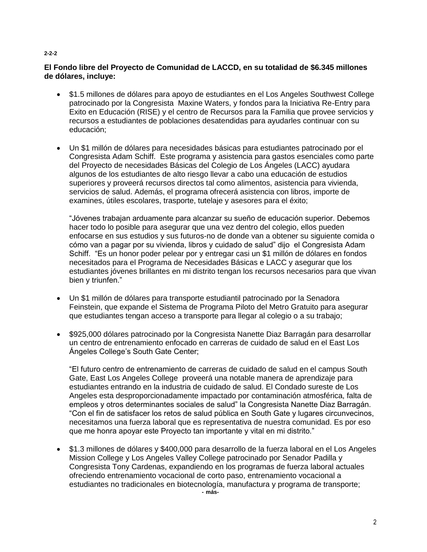#### **2-2-2**

## **El Fondo libre del Proyecto de Comunidad de LACCD, en su totalidad de \$6.345 millones de dólares, incluye:**

- \$1.5 millones de dólares para apoyo de estudiantes en el Los Angeles Southwest College patrocinado por la Congresista Maxine Waters, y fondos para la Iniciativa Re-Entry para Exito en Educación (RISE) y el centro de Recursos para la Familia que provee servicios y recursos a estudiantes de poblaciones desatendidas para ayudarles continuar con su educación;
- Un \$1 millón de dólares para necesidades básicas para estudiantes patrocinado por el Congresista Adam Schiff. Este programa y asistencia para gastos esenciales como parte del Proyecto de necesidades Básicas del Colegio de Los Ángeles (LACC) ayudara algunos de los estudiantes de alto riesgo llevar a cabo una educación de estudios superiores y proveerá recursos directos tal como alimentos, asistencia para vivienda, servicios de salud. Además, el programa ofrecerá asistencia con libros, importe de examines, útiles escolares, trasporte, tutelaje y asesores para el éxito;

"Jóvenes trabajan arduamente para alcanzar su sueño de educación superior. Debemos hacer todo lo posible para asegurar que una vez dentro del colegio, ellos pueden enfocarse en sus estudios y sus futuros-no de donde van a obtener su siguiente comida o cómo van a pagar por su vivienda, libros y cuidado de salud" dijo el Congresista Adam Schiff. "Es un honor poder pelear por y entregar casi un \$1 millón de dólares en fondos necesitados para el Programa de Necesidades Básicas e LACC y asegurar que los estudiantes jóvenes brillantes en mi distrito tengan los recursos necesarios para que vivan bien y triunfen."

- Un \$1 millón de dólares para transporte estudiantil patrocinado por la Senadora Feinstein, que expande el Sistema de Programa Piloto del Metro Gratuito para asegurar que estudiantes tengan acceso a transporte para llegar al colegio o a su trabajo;
- \$925,000 dólares patrocinado por la Congresista Nanette Diaz Barragán para desarrollar un centro de entrenamiento enfocado en carreras de cuidado de salud en el East Los Ángeles College's South Gate Center;

"El futuro centro de entrenamiento de carreras de cuidado de salud en el campus South Gate, East Los Angeles College proveerá una notable manera de aprendizaje para estudiantes entrando en la industria de cuidado de salud. El Condado sureste de Los Angeles esta desproporcionadamente impactado por contaminación atmosférica, falta de empleos y otros determinantes sociales de salud" la Congresista Nanette Diaz Barragán. "Con el fin de satisfacer los retos de salud pública en South Gate y lugares circunvecinos, necesitamos una fuerza laboral que es representativa de nuestra comunidad. Es por eso que me honra apoyar este Proyecto tan importante y vital en mi distrito."

 \$1.3 millones de dólares y \$400,000 para desarrollo de la fuerza laboral en el Los Angeles Mission College y Los Angeles Valley College patrocinado por Senador Padilla y Congresista Tony Cardenas, expandiendo en los programas de fuerza laboral actuales ofreciendo entrenamiento vocacional de corto paso, entrenamiento vocacional a estudiantes no tradicionales en biotecnología, manufactura y programa de transporte; **- más-**